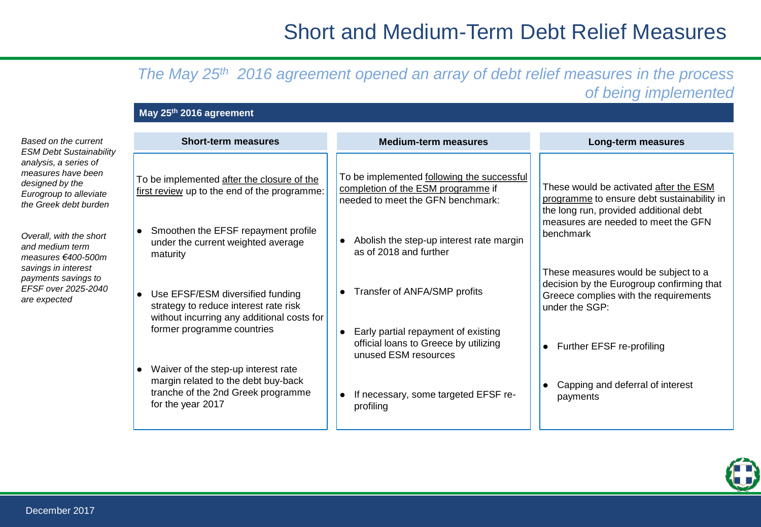# Short and Medium-Term Debt Relief Measures

## *The May 25th 2016 agreement opened an array of debt relief measures in the process of being implemented*

### **May 25th 2016 agreement**

*Based on the current ESM Debt Sustainability analysis, a series of measures have been designed by the Eurogroup to alleviate the Greek debt burden* 

*Overall, with the short and medium term measures €400-500m savings in interest payments savings to EFSF over 2025-2040 are expected*

| <b>Short-term measures</b>                                                                                                            | <b>Medium-term measures</b>                                                                                           | Long-term measures                                                                                                                           |
|---------------------------------------------------------------------------------------------------------------------------------------|-----------------------------------------------------------------------------------------------------------------------|----------------------------------------------------------------------------------------------------------------------------------------------|
| To be implemented after the closure of the<br>first review up to the end of the programme:                                            | To be implemented following the successful<br>completion of the ESM programme if<br>needed to meet the GFN benchmark: | These would be activated after the ESM<br>programme to ensure debt sustainability in<br>the long run, provided additional debt               |
| • Smoothen the EFSF repayment profile<br>under the current weighted average<br>maturity                                               | Abolish the step-up interest rate margin<br>as of 2018 and further                                                    | measures are needed to meet the GFN<br>benchmark                                                                                             |
| Use EFSF/ESM diversified funding<br>strategy to reduce interest rate risk<br>without incurring any additional costs for               | Transfer of ANFA/SMP profits                                                                                          | These measures would be subject to a<br>decision by the Eurogroup confirming that<br>Greece complies with the requirements<br>under the SGP: |
| former programme countries                                                                                                            | Early partial repayment of existing<br>official loans to Greece by utilizing<br>unused ESM resources                  | Further EFSF re-profiling                                                                                                                    |
| Waiver of the step-up interest rate<br>margin related to the debt buy-back<br>tranche of the 2nd Greek programme<br>for the year 2017 | If necessary, some targeted EFSF re-<br>profiling                                                                     | Capping and deferral of interest<br>payments                                                                                                 |

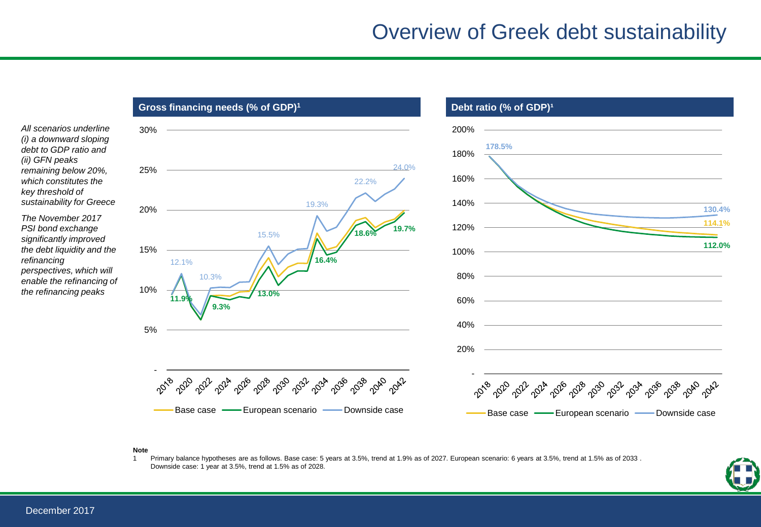# Overview of Greek debt sustainability

**Gross financing needs (% of GDP)<sup>1</sup> <b>Debt ratio (% of GDP)**<sup>1</sup> *All scenarios underline*  30% 200% *(i) a downward sloping*  **178.5%**  *debt to GDP ratio and*  180% 24.0% *remaining below 20%,*  25% 160% *which constitutes the*  22.2% *key threshold of sustainability for Greece*  140% 19.3% **130.4%**  20% *The November 2017*  **114.1% 18.6% 19.7%**  120% *PSI bond exchange*  15.5% *significantly improved*  **112.0%**  *the debt liquidity and the*  15% 100% **16.4%**  12.1% *perspectives, which will*  10.3% 80% *enable the refinancing of*  10% *the refinancing peaks*  **13.0% 11.9%**  60% **9.3%**  40% 5% 20% - Prope P 2018 r **A** 22<sup>4</sup> , 20,0 , 2032 206 2018 ಸ್ಮೊ  $\sqrt{2^{6}}$ **100** 2096 , 030  $\mathcal{S}^{\mathcal{S}^{\mu}}$  $\sim 3^{3}$ ್ನೊಂ 2030 Base case — European scenario — Downside case Base case — European scenario — Downside case

#### **Note**

1 Primary balance hypotheses are as follows. Base case: 5 years at 3.5%, trend at 1.9% as of 2027. European scenario: 6 years at 3.5%, trend at 1.5% as of 2033 . Downside case: 1 year at 3.5%, trend at 1.5% as of 2028.



*(ii) GFN peaks* 

*refinancing*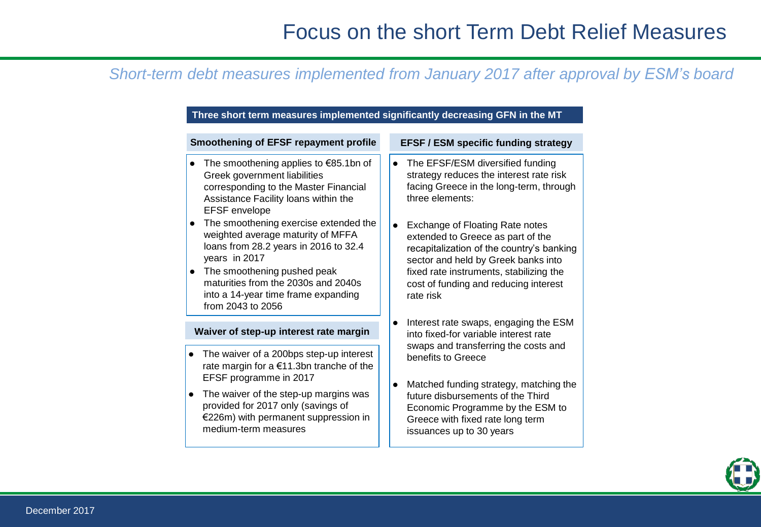### *Short-term debt measures implemented from January 2017 after approval by ESM's board*

### **Three short term measures implemented significantly decreasing GFN in the MT**

- The smoothening applies to €85.1bn of Greek government liabilities corresponding to the Master Financial Assistance Facility loans within the EFSF envelope
- The smoothening exercise extended the weighted average maturity of MFFA loans from 28.2 years in 2016 to 32.4 years in 2017
- The smoothening pushed peak maturities from the 2030s and 2040s into a 14-year time frame expanding from 2043 to 2056

#### **Waiver of step-up interest rate margin**

- The waiver of a 200bps step-up interest rate margin for a €11.3bn tranche of the EFSF programme in 2017
- The waiver of the step-up margins was provided for 2017 only (savings of €226m) with permanent suppression in medium-term measures

#### **Smoothening of EFSF repayment profile EFSF / ESM specific funding strategy**

- The EFSF/ESM diversified funding strategy reduces the interest rate risk facing Greece in the long-term, through three elements:
- Exchange of Floating Rate notes extended to Greece as part of the recapitalization of the country's banking sector and held by Greek banks into fixed rate instruments, stabilizing the cost of funding and reducing interest rate risk
- Interest rate swaps, engaging the ESM into fixed-for variable interest rate swaps and transferring the costs and benefits to Greece
- Matched funding strategy, matching the future disbursements of the Third Economic Programme by the ESM to Greece with fixed rate long term issuances up to 30 years